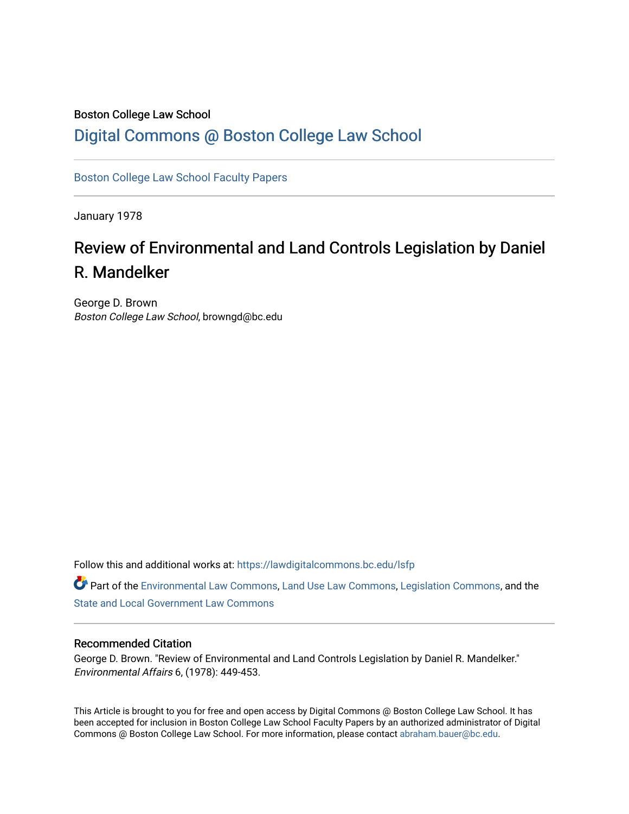### Boston College Law School

## [Digital Commons @ Boston College Law School](https://lawdigitalcommons.bc.edu/)

[Boston College Law School Faculty Papers](https://lawdigitalcommons.bc.edu/lsfp) 

January 1978

# Review of Environmental and Land Controls Legislation by Daniel R. Mandelker

George D. Brown Boston College Law School, browngd@bc.edu

Follow this and additional works at: [https://lawdigitalcommons.bc.edu/lsfp](https://lawdigitalcommons.bc.edu/lsfp?utm_source=lawdigitalcommons.bc.edu%2Flsfp%2F769&utm_medium=PDF&utm_campaign=PDFCoverPages) 

Part of the [Environmental Law Commons](http://network.bepress.com/hgg/discipline/599?utm_source=lawdigitalcommons.bc.edu%2Flsfp%2F769&utm_medium=PDF&utm_campaign=PDFCoverPages), [Land Use Law Commons,](http://network.bepress.com/hgg/discipline/852?utm_source=lawdigitalcommons.bc.edu%2Flsfp%2F769&utm_medium=PDF&utm_campaign=PDFCoverPages) [Legislation Commons](http://network.bepress.com/hgg/discipline/859?utm_source=lawdigitalcommons.bc.edu%2Flsfp%2F769&utm_medium=PDF&utm_campaign=PDFCoverPages), and the [State and Local Government Law Commons](http://network.bepress.com/hgg/discipline/879?utm_source=lawdigitalcommons.bc.edu%2Flsfp%2F769&utm_medium=PDF&utm_campaign=PDFCoverPages) 

#### Recommended Citation

George D. Brown. "Review of Environmental and Land Controls Legislation by Daniel R. Mandelker." Environmental Affairs 6, (1978): 449-453.

This Article is brought to you for free and open access by Digital Commons @ Boston College Law School. It has been accepted for inclusion in Boston College Law School Faculty Papers by an authorized administrator of Digital Commons @ Boston College Law School. For more information, please contact [abraham.bauer@bc.edu.](mailto:abraham.bauer@bc.edu)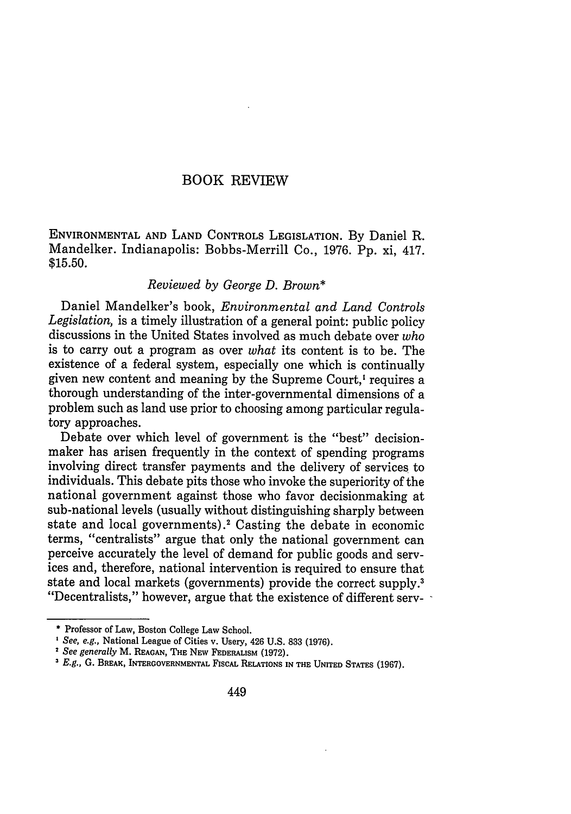#### BOOK REVIEW

ENVIRONMENTAL AND LAND CONTROLS LEGISLATION. By Daniel R. Mandelker. Indianapolis: Bobbs-Merrill Co., 1976. Pp. xi, 417. \$15.50.

#### *Reviewed by George D. Brown\**

Daniel Mandelker's book, *Environmental and Land Controls Legislation,* is a timely illustration of a general point: public policy discussions in the United States involved as much debate over *who* is to carry out a program as over *what* its content is to be. The existence of a federal system, especially one which is continually given new content and meaning by the Supreme Court,' requires a thorough understanding of the inter-governmental dimensions of a problem such as land use prior to choosing among particular regulatory approaches.

Debate over which level of government is the "best" decisionmaker has arisen frequently in the context of spending programs involving direct transfer payments and the delivery of services to individuals. This debate pits those who invoke the superiority of the national government against those who favor decisionmaking at sub-national levels (usually without distinguishing sharply between state and local governments) **.2** Casting the debate in economic terms, "centralists" argue that only the national government can perceive accurately the level of demand for public goods and services and, therefore, national intervention is required to ensure that state and local markets (governments) provide the correct supply.<sup>3</sup> "Decentralists," however, argue that the existence of different serv-

**<sup>\*</sup>** Professor of Law, Boston College Law School.

*See, e.g.,* National League of Cities v. Usery, 426 U.S. 833 (1976).

<sup>2</sup> *See generally* M. **REAGAN,** THE NEW FEDERALISM **(1972).**

*E.g.,* G. BREAK, **INTERGOVERNMENTAL FiscAL** RELATIONS IN **THE** UNITED **STATES** (1967).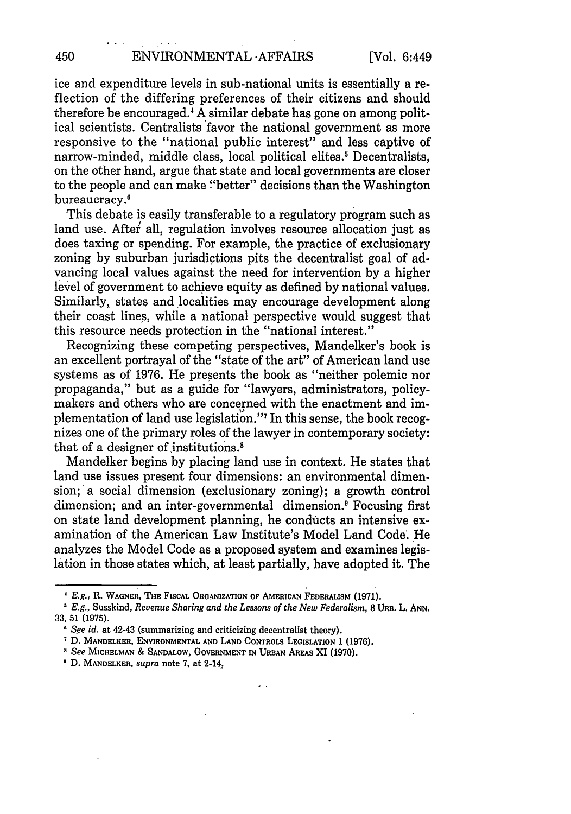ice and expenditure levels in sub-national units is essentially a reflection of the differing preferences of their citizens and should therefore be encouraged.' A similar debate has gone on among political scientists. Centralists favor the national government as more responsive to the "national public interest" and less captive of narrow-minded, middle class, local political elites.' Decentralists, on the other hand, argue that state and local governments are closer to the people and can make "better" decisions than the Washington bureaucracy.<sup>6</sup>

This debate is easily transferable to a regulatory program such as land use. After' all, regulation involves resource allocation just as does taxing or spending. For example, the practice of exclusionary zoning by suburban jurisdictions pits the decentralist goal of advancing local values against the need for intervention by a higher level of government to achieve equity as defined by national values. Similarly, states and localities may encourage development along their coast lines, while a national perspective would suggest that this resource needs protection in the "national interest."

Recognizing these competing perspectives, Mandelker's book is an excellent portrayal of the "state of the art" of American land use systems as of 1976. He presents the book as "neither polemic nor propaganda," but as a guide for "lawyers, administrators, policymakers and others who are concerned with the enactment and implementation of land use legislation."7 In this sense, the book recognizes one of the primary roles of the lawyer in contemporary society: that of a designer of institutions.8

Mandelker begins by placing land use in context. He states that land use issues present four dimensions: an environmental dimension; a social dimension (exclusionary zoning); a growth control dimension; and an inter-governmental dimension? Focusing first on state land development planning, he conducts an intensive examination of the American Law Institute's Model Land Code. He analyzes the Model Code as a proposed system and examines legislation in those states which, at least partially, have adopted it. The

 $\sim$  .

450

*E.g.,* R. WAGNER, **THE FISCAL ORGANIZATION** OF **AMERICAN** FEDERALISM **(1971).**

*E.g.,* Susskind, *Revenue Sharing and the Lessons of the New Federalism,* **8** URB. L. **ANN. 33,** 51 (1975).

*<sup>1</sup> See id.* at 42-43 (summarizing and criticizing decentralist theory).

**D. MANDELKER, ENVIRONMENTAL AND LAND** CONTROLS **LEGISLATION** 1 **(1976).**

*N See* **MICHELMAN** & SANDALOW, **GOVERNMENT IN URBAN AREAS XI (1970).**

**D.** MANDELKER, *supra* note 7, at 2-14.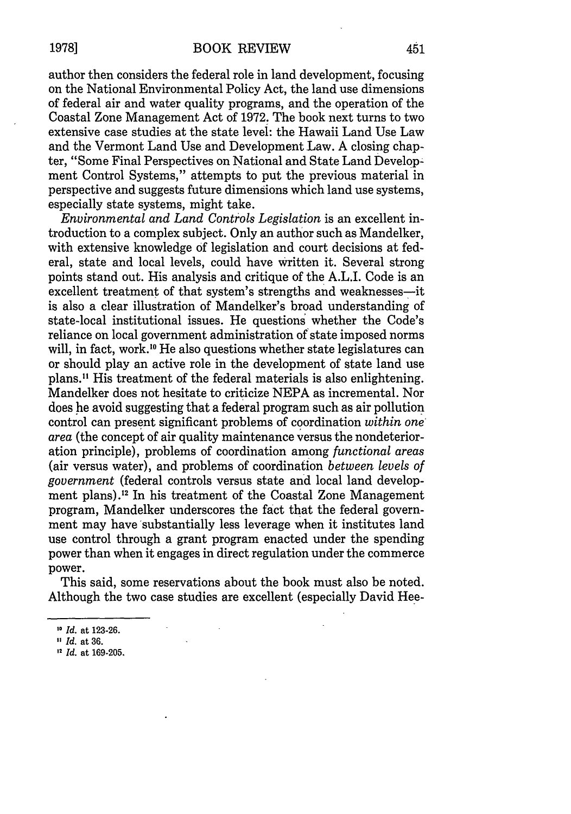author then considers the federal role in land development, focusing on the National Environmental Policy Act, the land use dimensions of federal air and water quality programs, and the operation of the Coastal Zone Management Act of 1972. The book next turns to two extensive case studies at the state level: the Hawaii Land Use Law and the Vermont Land Use and Development Law. A closing chapter, "Some Final Perspectives on National and State Land Development Control Systems," attempts to put the previous material in perspective and suggests future dimensions which land use systems, especially state systems, might take.

*Environmental and Land Controls Legislation* is an excellent introduction to a complex subject. Only an author such as Mandelker, with extensive knowledge of legislation and court decisions at federal, state and local levels, could have written it. Several strong points stand out. His analysis and critique of the A.L.I. Code is an excellent treatment of that system's strengths and weaknesses--it is also a clear illustration of Mandelker's broad understanding of state-local institutional issues. He questions whether the Code's reliance on local government administration of state imposed norms will, in fact, work.<sup>10</sup> He also questions whether state legislatures can or should play an active role in the development of state land use plans." His treatment of the federal materials is also enlightening. Mandelker does not hesitate to criticize NEPA as incremental. Nor does he avoid suggesting that a federal program such as air pollution control can present significant problems of coordination *within one' area* (the concept of air quality maintenance versus the nondeterioration principle), problems of coordination among *functional areas* (air versus water), and problems of coordination *between levels of government* (federal controls versus state and local land development plans) **.12** In his treatment of the Coastal Zone Management program, Mandelker underscores the fact that the federal government may have substantially less leverage when it institutes land use control through a grant program enacted under the spending power than when it engages in direct regulation under the commerce power.

This said, some reservations about the book must also be noted. Although the two case studies are excellent (especially David Hee-

**1978]**

*<sup>10</sup> Id.* at 123-26.

*Id.* at 36.

**<sup>,2</sup>** *Id.* at 169-205.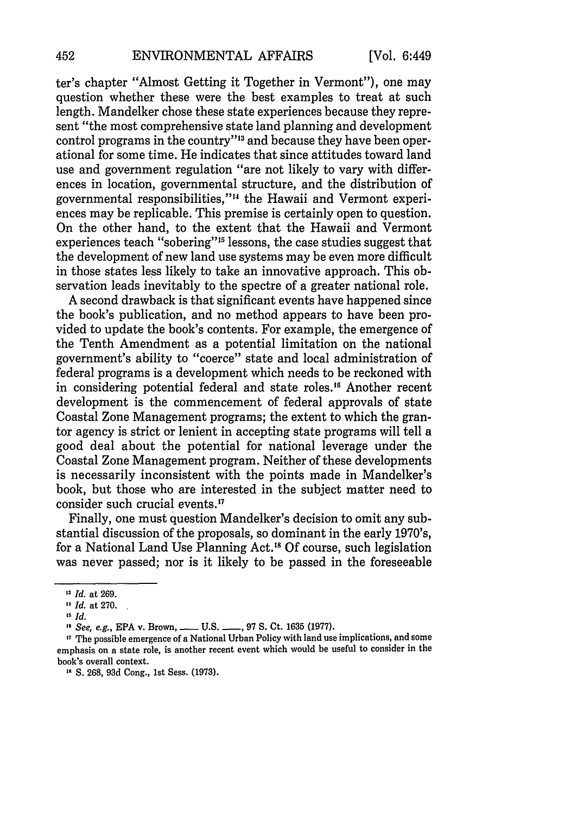ter's chapter "Almost Getting it Together in Vermont"), one may question whether these were the best examples to treat at such length. Mandelker chose these state experiences because they represent "the most comprehensive state land planning and development control programs in the country"'13 and because they have been operational for some time. He indicates that since attitudes toward land use and government regulation "are not likely to vary with differences in location, governmental structure, and the distribution of governmental responsibilities,"'" the Hawaii and Vermont experiences may be replicable. This premise is certainly open to question. On the other hand, to the extent that the Hawaii and Vermont experiences teach "sobering"<sup>15</sup> lessons, the case studies suggest that the development of new land use systems may be even more difficult in those states less likely to take an innovative approach. This observation leads inevitably to the spectre of a greater national role.

A second drawback is that significant events have happened since the book's publication, and no method appears to have been provided to update the book's contents. For example, the emergence of the Tenth Amendment as a potential limitation on the national government's ability to "coerce" state and local administration of federal programs is a development which needs to be reckoned with in considering potential federal and state roles.<sup>16</sup> Another recent development is the commencement of federal approvals of state Coastal Zone Management programs; the extent to which the grantor agency is strict or lenient in accepting state programs will tell a good deal about the potential for national leverage under the Coastal Zone Management program. Neither of these developments is necessarily inconsistent with the points made in Mandelker's book, but those who are interested in the subject matter need to consider such crucial events.'7

Finally, one must question Mandelker's decision to omit any substantial discussion of the proposals, so dominant in the early 1970's, for a National Land Use Planning Act.<sup>18</sup> Of course, such legislation was never passed; nor is it likely to be passed in the foreseeable

<sup>&</sup>quot; *Id.* at 269.

<sup>&</sup>quot; *Id.* at 270.

I5 *Id.*

<sup>&</sup>lt;sup>16</sup> See, e.g., EPA v. Brown, **\_\_\_\_** U.S. **\_\_\_**, 97 S. Ct. 1635 (1977).

<sup>&</sup>lt;sup>17</sup> The possible emergence of a National Urban Policy with land use implications, and some emphasis on a state role, is another recent event which would be useful to consider in the book's overall context.

**<sup>51</sup> S.** 268, 93d Cong., 1st Sess. (1973).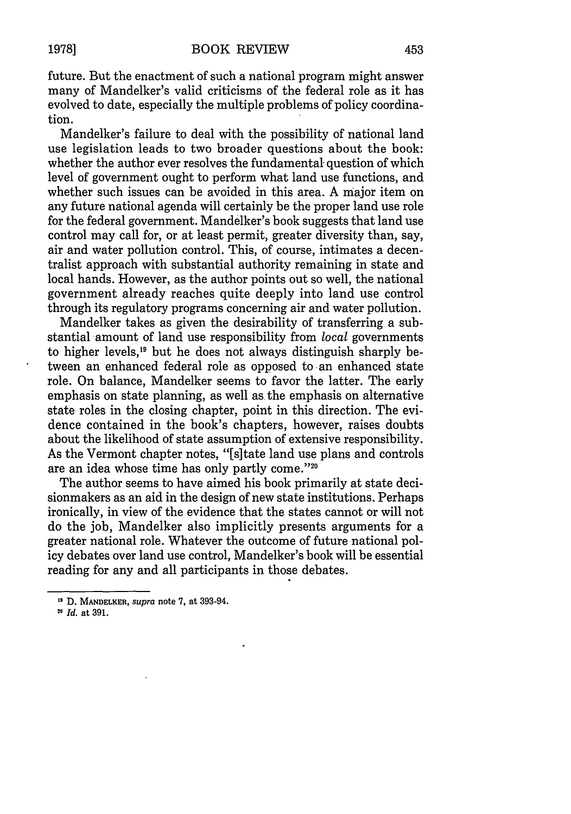future. But the enactment of such a national program might answer many of Mandelker's valid criticisms of the federal role as it has evolved to date, especially the multiple problems of policy coordination.

Mandelker's failure to deal with the possibility of national land use legislation leads to two broader questions about the book: whether the author ever resolves the fundamental-question of which level of government ought to perform what land use functions, and whether such issues can be avoided in this area. A major item on any future national agenda will certainly be the proper land use role for the federal government. Mandelker's book suggests that land use control may call for, or at least permit, greater diversity than, say, air and water pollution control. This, of course, intimates a decentralist approach with substantial authority remaining in state and local hands. However, as the author points out so well, the national government already reaches quite deeply into land use control through its regulatory programs concerning air and water pollution.

Mandelker takes as given the desirability of transferring a substantial amount of land use responsibility from *local* governments to higher levels,19 but he does not always distinguish sharply between an enhanced federal role as opposed to an enhanced state role. On balance, Mandelker seems to favor the latter. The early emphasis on state planning, as well as the emphasis on alternative state roles in the closing chapter, point in this direction. The evidence contained in the book's chapters, however, raises doubts about the likelihood of state assumption of extensive responsibility. As the Vermont chapter notes, "[s]tate land use plans and controls are an idea whose time has only partly come."2

The author seems to have aimed his book primarily at state decisionmakers as an aid in the design of new state institutions. Perhaps ironically, in view of the evidence that the states cannot or will not do the job, Mandelker also implicitly presents arguments for a greater national role. Whatever the outcome of future national policy debates over land use control, Mandelker's book will be essential reading for any and all participants in those debates.

21 *Id.* at **391.**

**<sup>&</sup>quot;9 D. MANDELKER,** *supra* note **7,** at 393-94.